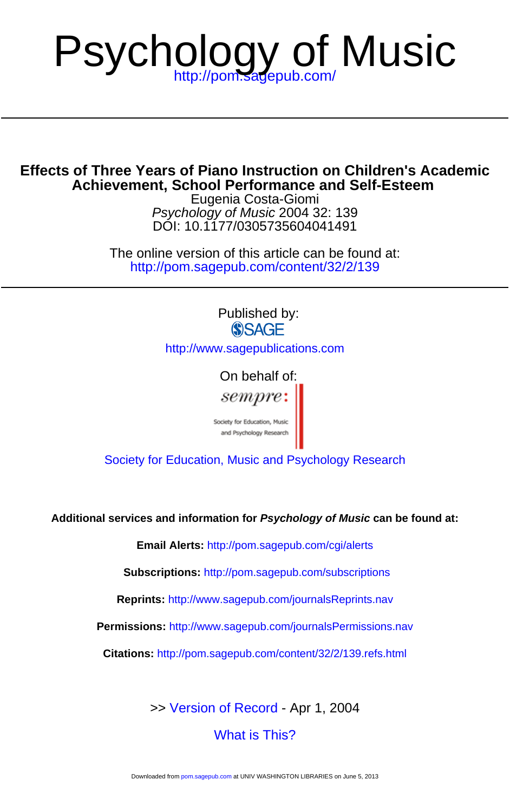# Psychology of Music

## **Achievement, School Performance and Self-Esteem Effects of Three Years of Piano Instruction on Children's Academic**

DOI: 10.1177/0305735604041491 Psychology of Music 2004 32: 139 Eugenia Costa-Giomi

<http://pom.sagepub.com/content/32/2/139> The online version of this article can be found at:

> Published by:<br>
> SAGE <http://www.sagepublications.com>

> > On behalf of: sempre:

Society for Education, Music and Psychology Research

[Society for Education, Music and Psychology Research](http://www.sempre.org.uk)

**Additional services and information for Psychology of Music can be found at:**

**Email Alerts:** <http://pom.sagepub.com/cgi/alerts>

**Subscriptions:** <http://pom.sagepub.com/subscriptions>

**Reprints:** <http://www.sagepub.com/journalsReprints.nav>

**Permissions:** <http://www.sagepub.com/journalsPermissions.nav>

**Citations:** <http://pom.sagepub.com/content/32/2/139.refs.html>

>> [Version of Record -](http://pom.sagepub.com/content/32/2/139.full.pdf) Apr 1, 2004

## [What is This?](http://online.sagepub.com/site/sphelp/vorhelp.xhtml)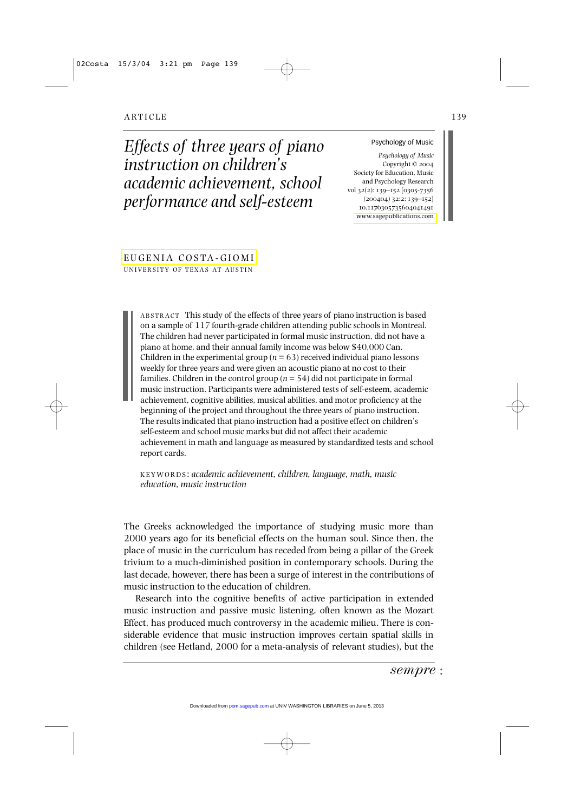## *Effects of three years of piano instruction on children's academic achievement, school performance and self-esteem*

#### Psychology of Music

*Psychology of Music* Copyright © 2004 Society for Education, Music and Psychology Research vol 32(2):  $139 - 152$  [0305-7356  $(200404)$  32:2; 139-152] 10.1170305735604041491 <www.sagepublications.com>

[EUGENIA COSTA-GIOMI](#page-14-0) UNIVERSITY OF TEXAS AT AUSTIN

> ABSTRACT This study of the effects of three years of piano instruction is based on a sample of 117 fourth-grade children attending public schools in Montreal. The children had never participated in formal music instruction, did not have a piano at home, and their annual family income was below \$40,000 Can. Children in the experimental group ( $n = 63$ ) received individual piano lessons weekly for three years and were given an acoustic piano at no cost to their families. Children in the control group (*n* = 54) did not participate in formal music instruction. Participants were administered tests of self-esteem, academic achievement, cognitive abilities, musical abilities, and motor proficiency at the beginning of the project and throughout the three years of piano instruction. The results indicated that piano instruction had a positive effect on children's self-esteem and school music marks but did not affect their academic achievement in math and language as measured by standardized tests and school report cards.

KEYWORDS : *academic achievement, children, language, math, music education, music instruction*

The Greeks acknowledged the importance of studying music more than 2000 years ago for its beneficial effects on the human soul. Since then, the place of music in the curriculum has receded from being a pillar of the Greek trivium to a much-diminished position in contemporary schools. During the last decade, however, there has been a surge of interest in the contributions of music instruction to the education of children.

Research into the cognitive benefits of active participation in extended music instruction and passive music listening, often known as the Mozart Effect, has produced much controversy in the academic milieu. There is considerable evidence that music instruction improves certain spatial skills in children (see Hetland, 2000 for a meta-analysis of relevant studies), but the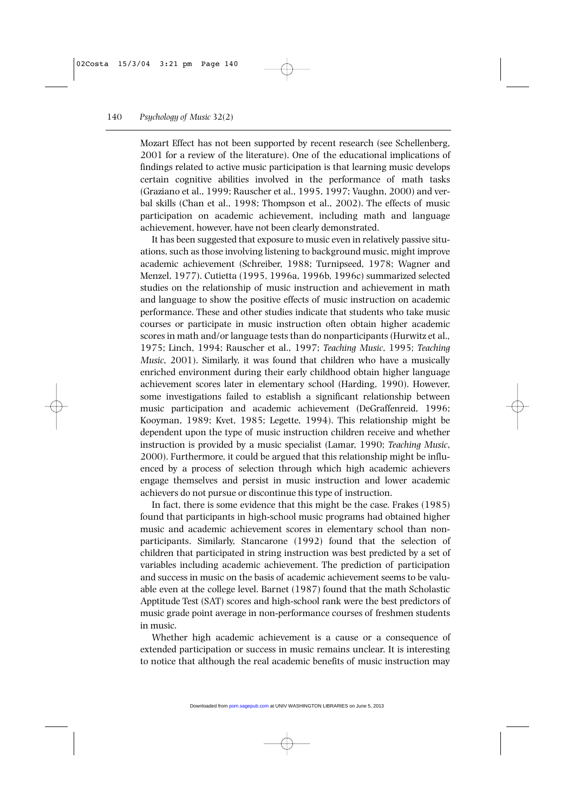Mozart Effect has not been supported by recent research (see Schellenberg, 2001 for a review of the literature). One of the educational implications of findings related to active music participation is that learning music develops certain cognitive abilities involved in the performance of math tasks (Graziano et al., 1999; Rauscher et al., 1995, 1997; Vaughn, 2000) and verbal skills (Chan et al., 1998; Thompson et al., 2002). The effects of music participation on academic achievement, including math and language achievement, however, have not been clearly demonstrated.

It has been suggested that exposure to music even in relatively passive situations, such as those involving listening to background music, might improve academic achievement (Schreiber, 1988; Turnipseed, 1978; Wagner and Menzel, 1977). Cutietta (1995, 1996a, 1996b, 1996c) summarized selected studies on the relationship of music instruction and achievement in math and language to show the positive effects of music instruction on academic performance. These and other studies indicate that students who take music courses or participate in music instruction often obtain higher academic scores in math and/or language tests than do nonparticipants (Hurwitz et al.*,* 1975; Linch, 1994; Rauscher et al., 1997; *Teaching Music*, 1995; *Teaching Music*, 2001). Similarly, it was found that children who have a musically enriched environment during their early childhood obtain higher language achievement scores later in elementary school (Harding, 1990). However, some investigations failed to establish a significant relationship between music participation and academic achievement (DeGraffenreid, 1996; Kooyman, 1989; Kvet, 1985; Legette, 1994). This relationship might be dependent upon the type of music instruction children receive and whether instruction is provided by a music specialist (Lamar, 1990; *Teaching Music*, 2000). Furthermore, it could be argued that this relationship might be influenced by a process of selection through which high academic achievers engage themselves and persist in music instruction and lower academic achievers do not pursue or discontinue this type of instruction.

In fact, there is some evidence that this might be the case. Frakes (1985) found that participants in high-school music programs had obtained higher music and academic achievement scores in elementary school than nonparticipants. Similarly, Stancarone (1992) found that the selection of children that participated in string instruction was best predicted by a set of variables including academic achievement. The prediction of participation and success in music on the basis of academic achievement seems to be valuable even at the college level. Barnet (1987) found that the math Scholastic Apptitude Test (SAT) scores and high-school rank were the best predictors of music grade point average in non-performance courses of freshmen students in music.

Whether high academic achievement is a cause or a consequence of extended participation or success in music remains unclear. It is interesting to notice that although the real academic benefits of music instruction may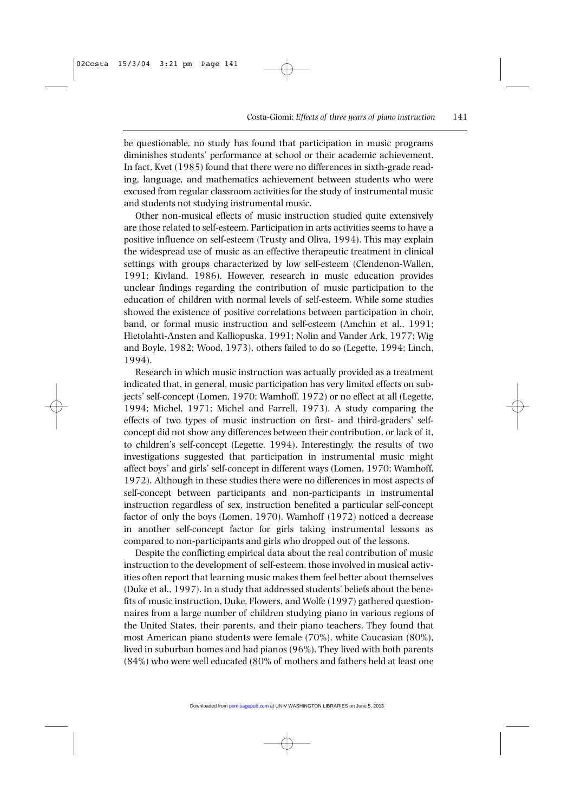be questionable, no study has found that participation in music programs diminishes students' performance at school or their academic achievement. In fact, Kvet (1985) found that there were no differences in sixth-grade reading, language, and mathematics achievement between students who were excused from regular classroom activities for the study of instrumental music and students not studying instrumental music.

Other non-musical effects of music instruction studied quite extensively are those related to self-esteem. Participation in arts activities seems to have a positive influence on self-esteem (Trusty and Oliva, 1994). This may explain the widespread use of music as an effective therapeutic treatment in clinical settings with groups characterized by low self-esteem (Clendenon-Wallen, 1991; Kivland, 1986). However, research in music education provides unclear findings regarding the contribution of music participation to the education of children with normal levels of self-esteem. While some studies showed the existence of positive correlations between participation in choir, band, or formal music instruction and self-esteem (Amchin et al., 1991; Hietolahti-Ansten and Kalliopuska, 1991; Nolin and Vander Ark, 1977; Wig and Boyle, 1982; Wood, 1973), others failed to do so (Legette, 1994; Linch, 1994).

Research in which music instruction was actually provided as a treatment indicated that, in general, music participation has very limited effects on subjects' self-concept (Lomen, 1970; Wamhoff, 1972) or no effect at all (Legette, 1994; Michel, 1971; Michel and Farrell, 1973). A study comparing the effects of two types of music instruction on first- and third-graders' selfconcept did not show any differences between their contribution, or lack of it, to children's self-concept (Legette, 1994). Interestingly, the results of two investigations suggested that participation in instrumental music might affect boys' and girls' self-concept in different ways (Lomen, 1970; Wamhoff, 1972). Although in these studies there were no differences in most aspects of self-concept between participants and non-participants in instrumental instruction regardless of sex, instruction benefited a particular self-concept factor of only the boys (Lomen, 1970). Wamhoff (1972) noticed a decrease in another self-concept factor for girls taking instrumental lessons as compared to non-participants and girls who dropped out of the lessons.

Despite the conflicting empirical data about the real contribution of music instruction to the development of self-esteem, those involved in musical activities often report that learning music makes them feel better about themselves (Duke et al., 1997). In a study that addressed students' beliefs about the benefits of music instruction, Duke, Flowers, and Wolfe (1997) gathered questionnaires from a large number of children studying piano in various regions of the United States, their parents, and their piano teachers. They found that most American piano students were female (70%), white Caucasian (80%), lived in suburban homes and had pianos (96%). They lived with both parents (84%) who were well educated (80% of mothers and fathers held at least one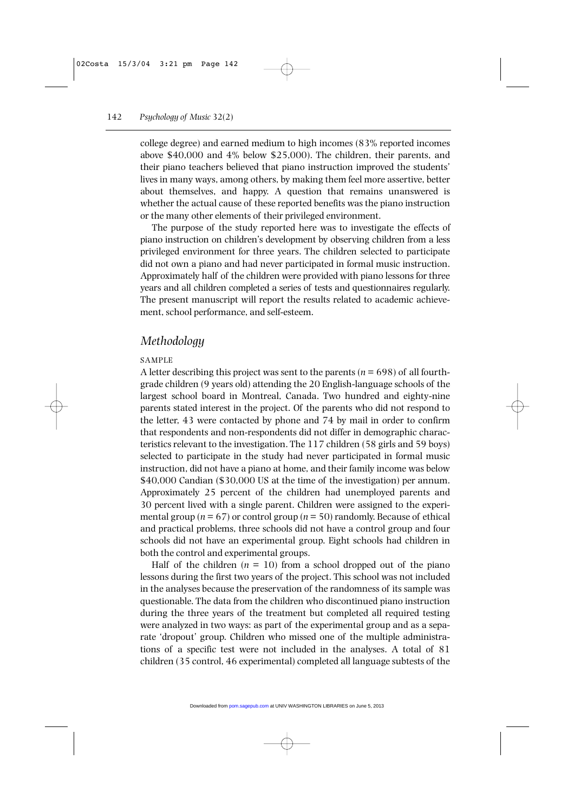college degree) and earned medium to high incomes (83% reported incomes above \$40,000 and 4% below \$25,000). The children, their parents, and their piano teachers believed that piano instruction improved the students' lives in many ways, among others, by making them feel more assertive, better about themselves, and happy. A question that remains unanswered is whether the actual cause of these reported benefits was the piano instruction or the many other elements of their privileged environment.

The purpose of the study reported here was to investigate the effects of piano instruction on children's development by observing children from a less privileged environment for three years. The children selected to participate did not own a piano and had never participated in formal music instruction. Approximately half of the children were provided with piano lessons for three years and all children completed a series of tests and questionnaires regularly. The present manuscript will report the results related to academic achievement, school performance, and self-esteem.

## *Methodology*

## SAMPLE

A letter describing this project was sent to the parents ( $n = 698$ ) of all fourthgrade children (9 years old) attending the 20 English-language schools of the largest school board in Montreal, Canada. Two hundred and eighty-nine parents stated interest in the project. Of the parents who did not respond to the letter, 43 were contacted by phone and 74 by mail in order to confirm that respondents and non-respondents did not differ in demographic characteristics relevant to the investigation. The 117 children (58 girls and 59 boys) selected to participate in the study had never participated in formal music instruction, did not have a piano at home, and their family income was below \$40,000 Candian (\$30,000 US at the time of the investigation) per annum. Approximately 25 percent of the children had unemployed parents and 30 percent lived with a single parent. Children were assigned to the experimental group ( $n = 67$ ) or control group ( $n = 50$ ) randomly. Because of ethical and practical problems, three schools did not have a control group and four schools did not have an experimental group. Eight schools had children in both the control and experimental groups.

Half of the children  $(n = 10)$  from a school dropped out of the piano lessons during the first two years of the project. This school was not included in the analyses because the preservation of the randomness of its sample was questionable. The data from the children who discontinued piano instruction during the three years of the treatment but completed all required testing were analyzed in two ways: as part of the experimental group and as a separate 'dropout' group. Children who missed one of the multiple administrations of a specific test were not included in the analyses. A total of 81 children (35 control, 46 experimental) completed all language subtests of the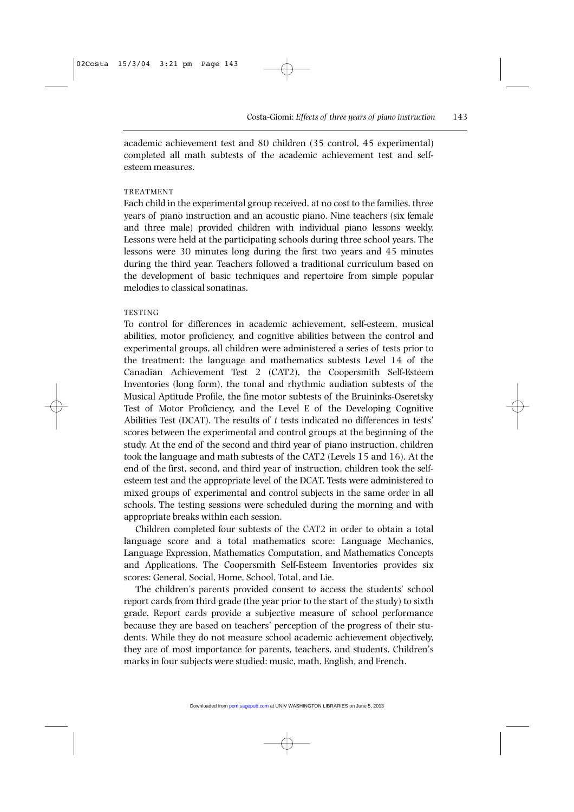academic achievement test and 80 children (35 control, 45 experimental) completed all math subtests of the academic achievement test and selfesteem measures.

## **TREATMENT**

Each child in the experimental group received, at no cost to the families, three years of piano instruction and an acoustic piano. Nine teachers (six female and three male) provided children with individual piano lessons weekly. Lessons were held at the participating schools during three school years. The lessons were 30 minutes long during the first two years and 45 minutes during the third year. Teachers followed a traditional curriculum based on the development of basic techniques and repertoire from simple popular melodies to classical sonatinas.

#### **TESTING**

To control for differences in academic achievement, self-esteem, musical abilities, motor proficiency, and cognitive abilities between the control and experimental groups, all children were administered a series of tests prior to the treatment: the language and mathematics subtests Level 14 of the Canadian Achievement Test 2 (CAT2), the Coopersmith Self-Esteem Inventories (long form), the tonal and rhythmic audiation subtests of the Musical Aptitude Profile*,* the fine motor subtests of the Bruininks-Oseretsky Test of Motor Proficiency, and the Level E of the Developing Cognitive Abilities Test (DCAT)*.* The results of *t* tests indicated no differences in tests' scores between the experimental and control groups at the beginning of the study. At the end of the second and third year of piano instruction, children took the language and math subtests of the CAT2 (Levels 15 and 16). At the end of the first, second, and third year of instruction, children took the selfesteem test and the appropriate level of the DCAT. Tests were administered to mixed groups of experimental and control subjects in the same order in all schools. The testing sessions were scheduled during the morning and with appropriate breaks within each session.

Children completed four subtests of the CAT2 in order to obtain a total language score and a total mathematics score: Language Mechanics, Language Expression, Mathematics Computation, and Mathematics Concepts and Applications. The Coopersmith Self-Esteem Inventories provides six scores: General, Social, Home, School, Total, and Lie.

The children's parents provided consent to access the students' school report cards from third grade (the year prior to the start of the study) to sixth grade. Report cards provide a subjective measure of school performance because they are based on teachers' perception of the progress of their students. While they do not measure school academic achievement objectively, they are of most importance for parents, teachers, and students. Children's marks in four subjects were studied: music, math, English, and French.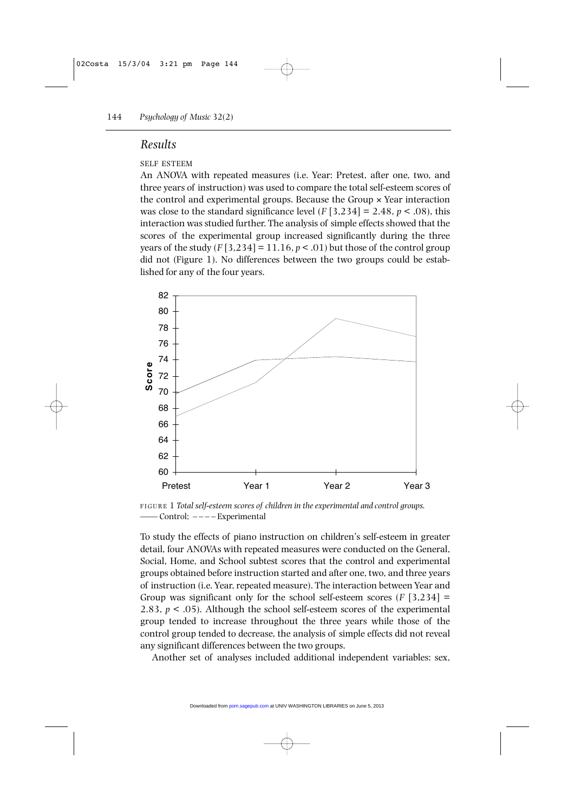## *Results*

## SELF ESTEEM

An ANOVA with repeated measures (i.e. Year: Pretest, after one, two, and three years of instruction) was used to compare the total self-esteem scores of the control and experimental groups. Because the Group  $\times$  Year interaction was close to the standard significance level  $(F [3, 234] = 2.48, p < .08)$ , this interaction was studied further. The analysis of simple effects showed that the scores of the experimental group increased significantly during the three years of the study  $(F[3,234] = 11.16, p < .01)$  but those of the control group did not (Figure 1). No differences between the two groups could be established for any of the four years.



FIGURE 1 *Total self-esteem scores of children in the experimental and control groups.*  —— Control; – – – – Experimental

To study the effects of piano instruction on children's self-esteem in greater detail, four ANOVAs with repeated measures were conducted on the General, Social, Home, and School subtest scores that the control and experimental groups obtained before instruction started and after one, two, and three years of instruction (i.e. Year, repeated measure). The interaction between Year and Group was significant only for the school self-esteem scores  $(F \mid 3.234] =$ 2.83,  $p < .05$ ). Although the school self-esteem scores of the experimental group tended to increase throughout the three years while those of the control group tended to decrease, the analysis of simple effects did not reveal any significant differences between the two groups.

Another set of analyses included additional independent variables: sex,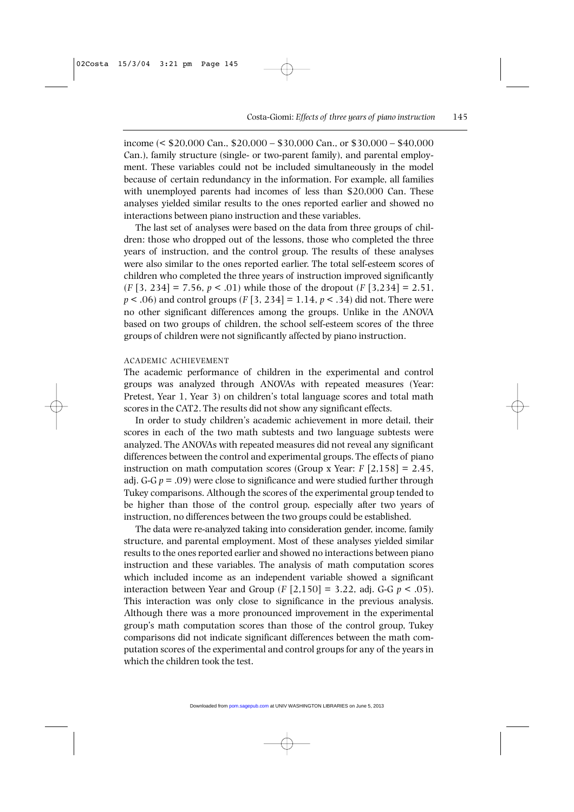income (< \$20,000 Can., \$20,000 – \$30,000 Can., or \$30,000 – \$40,000 Can.), family structure (single- or two-parent family), and parental employment. These variables could not be included simultaneously in the model because of certain redundancy in the information. For example, all families with unemployed parents had incomes of less than \$20,000 Can. These analyses yielded similar results to the ones reported earlier and showed no interactions between piano instruction and these variables.

The last set of analyses were based on the data from three groups of children: those who dropped out of the lessons, those who completed the three years of instruction, and the control group. The results of these analyses were also similar to the ones reported earlier. The total self-esteem scores of children who completed the three years of instruction improved significantly (*F* [3, 234] = 7.56, *p* < .01) while those of the dropout (*F* [3,234] = 2.51, *p* < .06) and control groups (*F* [3, 234] = 1.14, *p* < .34) did not. There were no other significant differences among the groups. Unlike in the ANOVA based on two groups of children, the school self-esteem scores of the three groups of children were not significantly affected by piano instruction.

## ACADEMIC ACHIEVEMENT

The academic performance of children in the experimental and control groups was analyzed through ANOVAs with repeated measures (Year: Pretest, Year 1, Year 3) on children's total language scores and total math scores in the CAT2. The results did not show any significant effects.

In order to study children's academic achievement in more detail, their scores in each of the two math subtests and two language subtests were analyzed. The ANOVAs with repeated measures did not reveal any significant differences between the control and experimental groups. The effects of piano instruction on math computation scores (Group x Year:  $F$  [2,158] = 2.45, adj. G-G  $p = .09$ ) were close to significance and were studied further through Tukey comparisons. Although the scores of the experimental group tended to be higher than those of the control group, especially after two years of instruction, no differences between the two groups could be established.

The data were re-analyzed taking into consideration gender, income, family structure, and parental employment. Most of these analyses yielded similar results to the ones reported earlier and showed no interactions between piano instruction and these variables. The analysis of math computation scores which included income as an independent variable showed a significant interaction between Year and Group  $(F [2,150] = 3.22, \text{adj. } G-G p < .05)$ . This interaction was only close to significance in the previous analysis. Although there was a more pronounced improvement in the experimental group's math computation scores than those of the control group, Tukey comparisons did not indicate significant differences between the math computation scores of the experimental and control groups for any of the years in which the children took the test.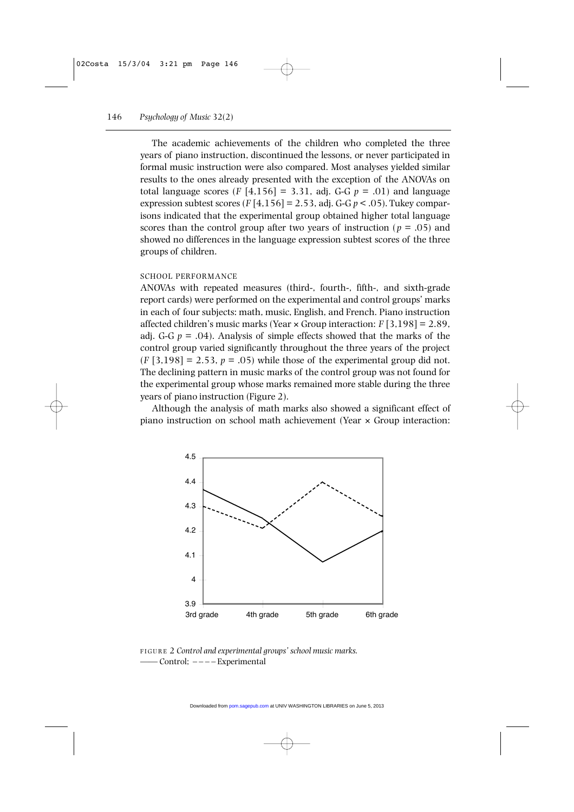The academic achievements of the children who completed the three years of piano instruction, discontinued the lessons, or never participated in formal music instruction were also compared. Most analyses yielded similar results to the ones already presented with the exception of the ANOVAs on total language scores  $(F[4,156] = 3.31, \text{ adj. } G-G \, p = .01)$  and language expression subtest scores  $(F[4,156] = 2.53$ , adj. G-G  $p < .05$ ). Tukey comparisons indicated that the experimental group obtained higher total language scores than the control group after two years of instruction ( $p = .05$ ) and showed no differences in the language expression subtest scores of the three groups of children.

### SCHOOL PERFORMANCE

ANOVAs with repeated measures (third-, fourth-, fifth-, and sixth-grade report cards) were performed on the experimental and control groups' marks in each of four subjects: math, music, English, and French. Piano instruction affected children's music marks (Year × Group interaction: *F* [3,198] = 2.89, adj. G-G  $p = .04$ ). Analysis of simple effects showed that the marks of the control group varied significantly throughout the three years of the project  $(F [3, 198] = 2.53, p = .05)$  while those of the experimental group did not. The declining pattern in music marks of the control group was not found for the experimental group whose marks remained more stable during the three years of piano instruction (Figure 2).

Although the analysis of math marks also showed a significant effect of piano instruction on school math achievement (Year × Group interaction:



FIGURE 2 *Control and experimental groups' school music marks.*  —— Control; – – – – Experimental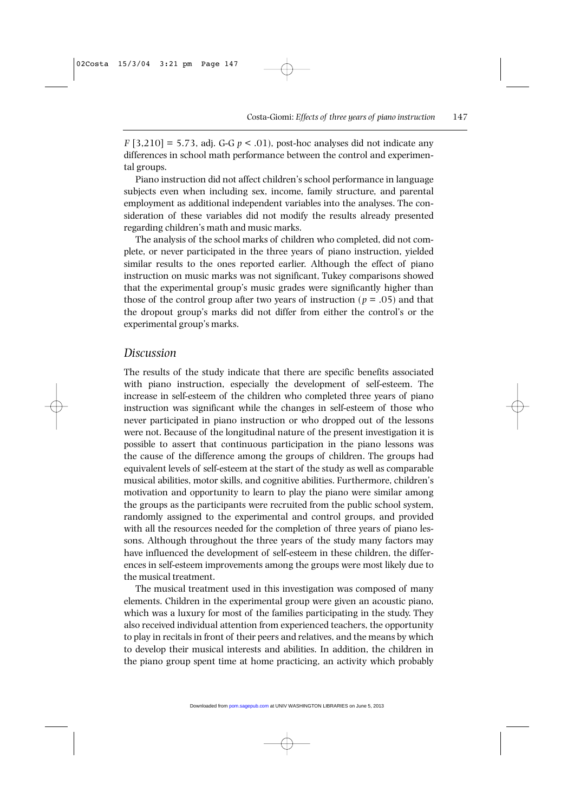$F$  [3,210] = 5.73, adj. G-G  $p$  < .01), post-hoc analyses did not indicate any differences in school math performance between the control and experimental groups.

Piano instruction did not affect children's school performance in language subjects even when including sex, income, family structure, and parental employment as additional independent variables into the analyses. The consideration of these variables did not modify the results already presented regarding children's math and music marks.

The analysis of the school marks of children who completed, did not complete, or never participated in the three years of piano instruction, yielded similar results to the ones reported earlier. Although the effect of piano instruction on music marks was not significant, Tukey comparisons showed that the experimental group's music grades were significantly higher than those of the control group after two years of instruction ( $p = .05$ ) and that the dropout group's marks did not differ from either the control's or the experimental group's marks.

## *Discussion*

The results of the study indicate that there are specific benefits associated with piano instruction, especially the development of self-esteem. The increase in self-esteem of the children who completed three years of piano instruction was significant while the changes in self-esteem of those who never participated in piano instruction or who dropped out of the lessons were not. Because of the longitudinal nature of the present investigation it is possible to assert that continuous participation in the piano lessons was the cause of the difference among the groups of children. The groups had equivalent levels of self-esteem at the start of the study as well as comparable musical abilities, motor skills, and cognitive abilities. Furthermore, children's motivation and opportunity to learn to play the piano were similar among the groups as the participants were recruited from the public school system, randomly assigned to the experimental and control groups, and provided with all the resources needed for the completion of three years of piano lessons. Although throughout the three years of the study many factors may have influenced the development of self-esteem in these children, the differences in self-esteem improvements among the groups were most likely due to the musical treatment.

The musical treatment used in this investigation was composed of many elements. Children in the experimental group were given an acoustic piano, which was a luxury for most of the families participating in the study. They also received individual attention from experienced teachers, the opportunity to play in recitals in front of their peers and relatives, and the means by which to develop their musical interests and abilities. In addition, the children in the piano group spent time at home practicing, an activity which probably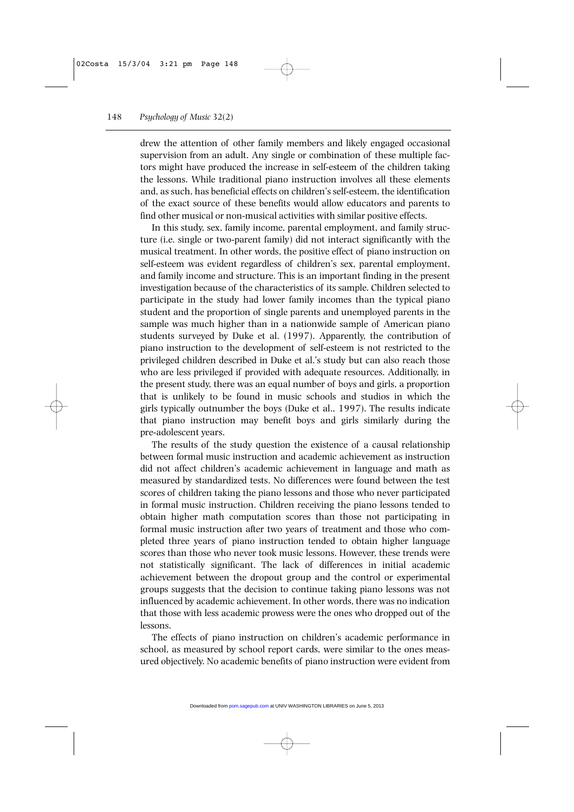drew the attention of other family members and likely engaged occasional supervision from an adult. Any single or combination of these multiple factors might have produced the increase in self-esteem of the children taking the lessons. While traditional piano instruction involves all these elements and, as such, has beneficial effects on children's self-esteem, the identification of the exact source of these benefits would allow educators and parents to find other musical or non-musical activities with similar positive effects.

In this study, sex, family income, parental employment, and family structure (i.e. single or two-parent family) did not interact significantly with the musical treatment. In other words, the positive effect of piano instruction on self-esteem was evident regardless of children's sex, parental employment, and family income and structure. This is an important finding in the present investigation because of the characteristics of its sample. Children selected to participate in the study had lower family incomes than the typical piano student and the proportion of single parents and unemployed parents in the sample was much higher than in a nationwide sample of American piano students surveyed by Duke et al. (1997). Apparently, the contribution of piano instruction to the development of self-esteem is not restricted to the privileged children described in Duke et al.'s study but can also reach those who are less privileged if provided with adequate resources. Additionally, in the present study, there was an equal number of boys and girls, a proportion that is unlikely to be found in music schools and studios in which the girls typically outnumber the boys (Duke et al., 1997). The results indicate that piano instruction may benefit boys and girls similarly during the pre-adolescent years.

The results of the study question the existence of a causal relationship between formal music instruction and academic achievement as instruction did not affect children's academic achievement in language and math as measured by standardized tests. No differences were found between the test scores of children taking the piano lessons and those who never participated in formal music instruction. Children receiving the piano lessons tended to obtain higher math computation scores than those not participating in formal music instruction after two years of treatment and those who completed three years of piano instruction tended to obtain higher language scores than those who never took music lessons. However, these trends were not statistically significant. The lack of differences in initial academic achievement between the dropout group and the control or experimental groups suggests that the decision to continue taking piano lessons was not influenced by academic achievement. In other words, there was no indication that those with less academic prowess were the ones who dropped out of the lessons.

The effects of piano instruction on children's academic performance in school, as measured by school report cards, were similar to the ones measured objectively. No academic benefits of piano instruction were evident from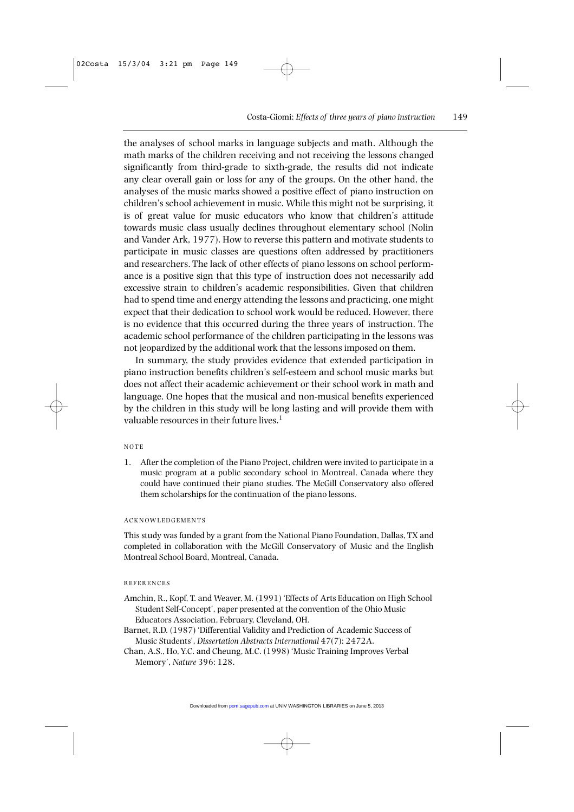the analyses of school marks in language subjects and math. Although the math marks of the children receiving and not receiving the lessons changed significantly from third-grade to sixth-grade, the results did not indicate any clear overall gain or loss for any of the groups. On the other hand, the analyses of the music marks showed a positive effect of piano instruction on children's school achievement in music. While this might not be surprising, it is of great value for music educators who know that children's attitude towards music class usually declines throughout elementary school (Nolin and Vander Ark, 1977). How to reverse this pattern and motivate students to participate in music classes are questions often addressed by practitioners and researchers. The lack of other effects of piano lessons on school performance is a positive sign that this type of instruction does not necessarily add excessive strain to children's academic responsibilities. Given that children had to spend time and energy attending the lessons and practicing, one might expect that their dedication to school work would be reduced. However, there is no evidence that this occurred during the three years of instruction. The academic school performance of the children participating in the lessons was not jeopardized by the additional work that the lessons imposed on them.

In summary, the study provides evidence that extended participation in piano instruction benefits children's self-esteem and school music marks but does not affect their academic achievement or their school work in math and language. One hopes that the musical and non-musical benefits experienced by the children in this study will be long lasting and will provide them with valuable resources in their future lives. $<sup>1</sup>$ </sup>

### **NOTE**

1. After the completion of the Piano Project, children were invited to participate in a music program at a public secondary school in Montreal, Canada where they could have continued their piano studies. The McGill Conservatory also offered them scholarships for the continuation of the piano lessons.

#### ACKNOWLEDGEMENTS

This study was funded by a grant from the National Piano Foundation, Dallas, TX and completed in collaboration with the McGill Conservatory of Music and the English Montreal School Board, Montreal, Canada.

#### **REFERENCES**

- Amchin, R., Kopf, T. and Weaver, M. (1991) 'Effects of Arts Education on High School Student Self-Concept', paper presented at the convention of the Ohio Music Educators Association, February, Cleveland, OH.
- Barnet, R.D. (1987) 'Differential Validity and Prediction of Academic Success of Music Students', *Dissertation Abstracts International* 47(7): 2472A.
- Chan, A.S., Ho, Y.C. and Cheung, M.C. (1998) 'Music Training Improves Verbal Memory', *Nature* 396: 128.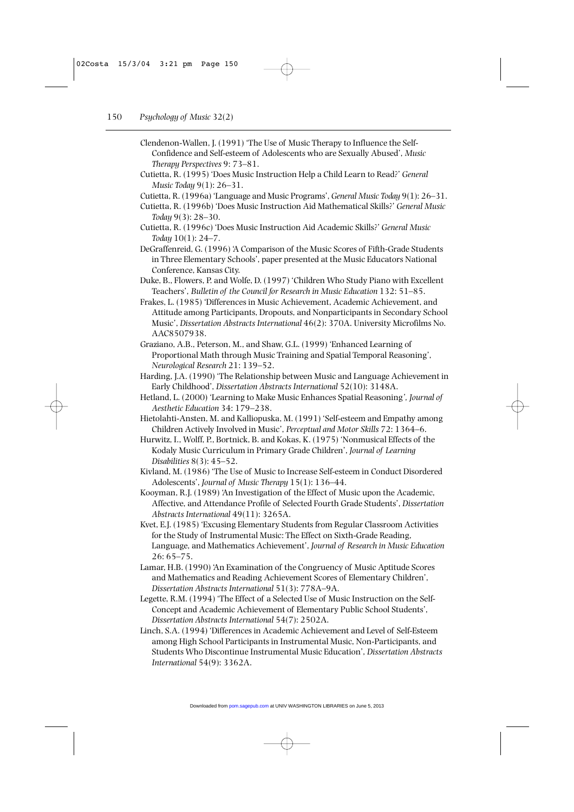- Clendenon-Wallen, J. (1991) 'The Use of Music Therapy to Influence the Self-Confidence and Self-esteem of Adolescents who are Sexually Abused', *Music Therapy Perspectives* 9: 73–81.
- Cutietta, R. (1995) 'Does Music Instruction Help a Child Learn to Read?' *General Music Today* 9(1): 26–31.
- Cutietta, R. (1996a) 'Language and Music Programs', *General Music Today* 9(1): 26–31.
- Cutietta, R. (1996b) 'Does Music Instruction Aid Mathematical Skills?' *General Music Today* 9(3): 28–30.
- Cutietta, R. (1996c) 'Does Music Instruction Aid Academic Skills?' *General Music Today* 10(1): 24–7.
- DeGraffenreid, G. (1996) 'A Comparison of the Music Scores of Fifth-Grade Students in Three Elementary Schools', paper presented at the Music Educators National Conference, Kansas City.
- Duke, B., Flowers, P. and Wolfe, D. (1997) 'Children Who Study Piano with Excellent Teachers', *Bulletin of the Council for Research in Music Education* 132: 51–85.
- Frakes, L. (1985) 'Differences in Music Achievement, Academic Achievement, and Attitude among Participants, Dropouts, and Nonparticipants in Secondary School Music', *Dissertation Abstracts International* 46(2): 370A. University Microfilms No. AAC8507938.
- Graziano, A.B., Peterson, M., and Shaw, G.L. (1999) 'Enhanced Learning of Proportional Math through Music Training and Spatial Temporal Reasoning', *Neurological Research* 21: 139–52.
- Harding, J.A. (1990) 'The Relationship between Music and Language Achievement in Early Childhood', *Dissertation Abstracts International* 52(10): 3148A.
- Hetland, L. (2000) 'Learning to Make Music Enhances Spatial Reasoning*', Journal of Aesthetic Education* 34: 179–238.
- Hietolahti-Ansten, M. and Kalliopuska, M. (1991) 'Self-esteem and Empathy among Children Actively Involved in Music', *Perceptual and Motor Skills* 72: 1364–6.
- Hurwitz, I., Wolff, P., Bortnick, B. and Kokas, K. (1975) 'Nonmusical Effects of the Kodaly Music Curriculum in Primary Grade Children', *Journal of Learning Disabilities* 8(3): 45–52.
- Kivland, M. (1986) 'The Use of Music to Increase Self-esteem in Conduct Disordered Adolescents', *Journal of Music Therapy* 15(1): 136–44.
- Kooyman, R.J. (1989) 'An Investigation of the Effect of Music upon the Academic, Affective, and Attendance Profile of Selected Fourth Grade Students', *Dissertation Abstracts International* 49(11): 3265A.
- Kvet, E.J. (1985) 'Excusing Elementary Students from Regular Classroom Activities for the Study of Instrumental Music: The Effect on Sixth-Grade Reading, Language, and Mathematics Achievement', *Journal of Research in Music Education* 26: 65–75.
- Lamar, H.B. (1990) 'An Examination of the Congruency of Music Aptitude Scores and Mathematics and Reading Achievement Scores of Elementary Children', *Dissertation Abstracts International* 51(3): 778A–9A.
- Legette, R.M. (1994) 'The Effect of a Selected Use of Music Instruction on the Self-Concept and Academic Achievement of Elementary Public School Students', *Dissertation Abstracts International* 54(7): 2502A.
- Linch, S.A. (1994) 'Differences in Academic Achievement and Level of Self-Esteem among High School Participants in Instrumental Music, Non-Participants, and Students Who Discontinue Instrumental Music Education', *Dissertation Abstracts International* 54(9): 3362A.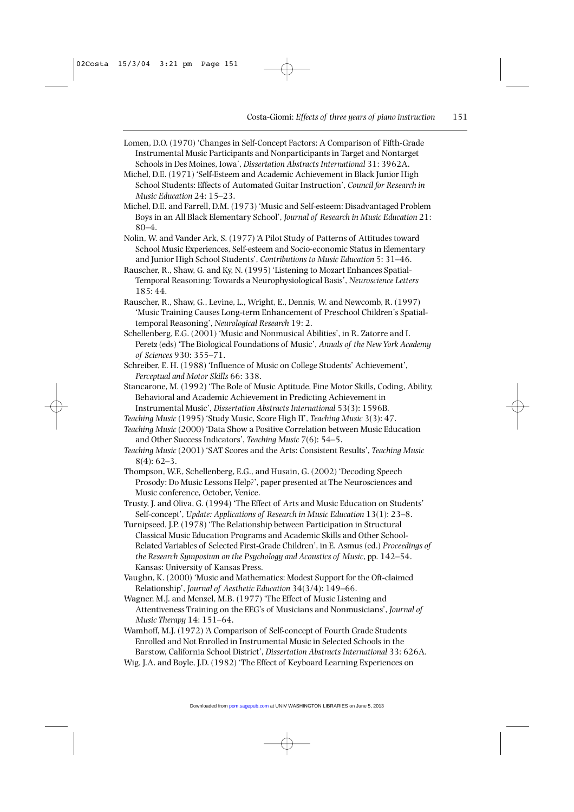- Lomen, D.O. (1970) 'Changes in Self-Concept Factors: A Comparison of Fifth-Grade Instrumental Music Participants and Nonparticipants in Target and Nontarget Schools in Des Moines, Iowa', *Dissertation Abstracts International* 31: 3962A.
- Michel, D.E. (1971) 'Self-Esteem and Academic Achievement in Black Junior High School Students: Effects of Automated Guitar Instruction', *Council for Research in Music Education* 24: 15–23.
- Michel, D.E. and Farrell, D.M. (1973) 'Music and Self-esteem: Disadvantaged Problem Boys in an All Black Elementary School', *Journal of Research in Music Education* 21: 80–4.
- Nolin, W. and Vander Ark, S. (1977) 'A Pilot Study of Patterns of Attitudes toward School Music Experiences, Self-esteem and Socio-economic Status in Elementary and Junior High School Students', *Contributions to Music Education* 5: 31–46.
- Rauscher, R., Shaw, G. and Ky, N. (1995) 'Listening to Mozart Enhances Spatial-Temporal Reasoning: Towards a Neurophysiological Basis', *Neuroscience Letters* 185: 44.
- Rauscher, R., Shaw, G., Levine, L., Wright, E., Dennis, W. and Newcomb, R. (1997) 'Music Training Causes Long-term Enhancement of Preschool Children's Spatialtemporal Reasoning', *Neurological Research* 19: 2.
- Schellenberg, E.G. (2001) 'Music and Nonmusical Abilities', in R. Zatorre and I. Peretz (eds) 'The Biological Foundations of Music', *Annals of the New York Academy of Sciences* 930: 355–71.
- Schreiber, E. H. (1988) 'Influence of Music on College Students' Achievement', *Perceptual and Motor Skills* 66: 338.
- Stancarone, M. (1992) 'The Role of Music Aptitude, Fine Motor Skills, Coding, Ability, Behavioral and Academic Achievement in Predicting Achievement in Instrumental Music', *Dissertation Abstracts International* 53(3): 1596B*.*
- *Teaching Music* (1995) 'Study Music, Score High II', *Teaching Music* 3(3): 47.
- *Teaching Music* (2000) 'Data Show a Positive Correlation between Music Education and Other Success Indicators', *Teaching Music* 7(6): 54–5.
- *Teaching Music* (2001) 'SAT Scores and the Arts: Consistent Results', *Teaching Music* 8(4): 62–3.
- Thompson, W.F., Schellenberg, E.G., and Husain, G. (2002) 'Decoding Speech Prosody: Do Music Lessons Help?', paper presented at The Neurosciences and Music conference, October, Venice.
- Trusty, J. and Oliva, G. (1994) 'The Effect of Arts and Music Education on Students' Self-concept', *Update: Applications of Research in Music Education* 13(1): 23–8.
- Turnipseed, J.P. (1978) 'The Relationship between Participation in Structural Classical Music Education Programs and Academic Skills and Other School-Related Variables of Selected First-Grade Children', in E. Asmus (ed.) *Proceedings of the Research Symposium on the Psychology and Acoustics of Music*, pp. 142–54. Kansas: University of Kansas Press.
- Vaughn, K. (2000) 'Music and Mathematics: Modest Support for the Oft-claimed Relationship', *Journal of Aesthetic Education* 34(3/4): 149–66.
- Wagner, M.J. and Menzel, M.B. (1977) 'The Effect of Music Listening and Attentiveness Training on the EEG's of Musicians and Nonmusicians', *Journal of Music Therapy* 14: 151–64.
- Wamhoff, M.J. (1972) 'A Comparison of Self-concept of Fourth Grade Students Enrolled and Not Enrolled in Instrumental Music in Selected Schools in the Barstow, California School District', *Dissertation Abstracts International* 33: 626A.

Wig, J.A. and Boyle, J.D. (1982) 'The Effect of Keyboard Learning Experiences on